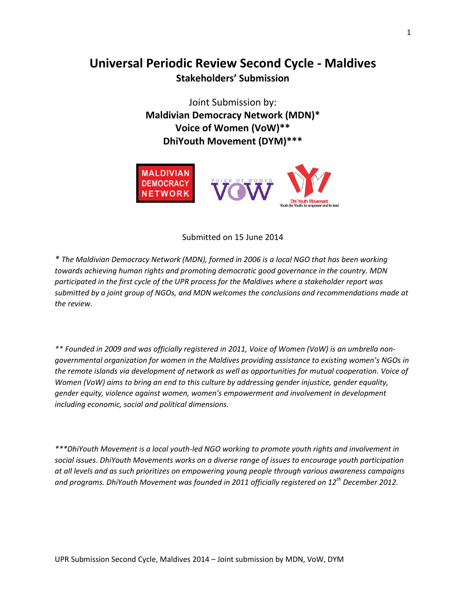# **Universal Periodic Review Second Cycle - Maldives Stakeholders' Submission**

Joint Submission by: **Maldivian Democracy Network (MDN)\* Voice of Women (VoW)\*\* DhiYouth Movement (DYM)\*\*\***



Submitted on 15 June 2014

*\* The Maldivian Democracy Network (MDN), formed in 2006 is a local NGO that has been working towards achieving human rights and promoting democratic good governance in the country. MDN participated in the first cycle of the UPR process for the Maldives where a stakeholder report was submitted by a joint group of NGOs, and MDN welcomes the conclusions and recommendations made at the review.* 

*\*\* Founded in 2009 and was officially registered in 2011, Voice of Women (VoW) is an umbrella nongovernmental organization for women in the Maldives providing assistance to existing women's NGOs in the remote islands via development of network as well as opportunities for mutual cooperation. Voice of Women (VoW) aims to bring an end to this culture by addressing gender injustice, gender equality, gender equity, violence against women, women's empowerment and involvement in development including economic, social and political dimensions.*

*\*\*\*DhiYouth Movement is a local youth-led NGO working to promote youth rights and involvement in social issues. DhiYouth Movements works on a diverse range of issues to encourage youth participation at all levels and as such prioritizes on empowering young people through various awareness campaigns and programs. DhiYouth Movement was founded in 2011 officially registered on 12th December 2012.*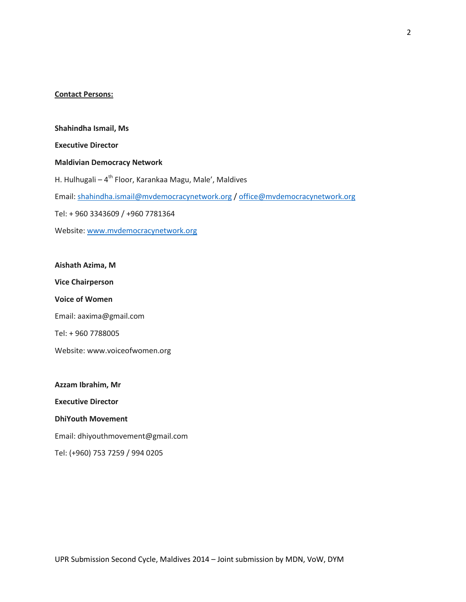#### **Contact Persons:**

**Shahindha Ismail, Ms Executive Director Maldivian Democracy Network** H. Hulhugali – 4<sup>th</sup> Floor, Karankaa Magu, Male', Maldives Email: [shahindha.ismail@mvdemocracynetwork.org](mailto:shahindha.ismail@mvdemocracynetwork.org) / [office@mvdemocracynetwork.org](mailto:office@mvdemocracynetwork.org) Tel: + 960 3343609 / +960 7781364 Website[: www.mvdemocracynetwork.org](http://www.mvdemocracynetwork.org/)

**Aishath Azima, M Vice Chairperson Voice of Women** Email: aaxima@gmail.com Tel: + 960 7788005 Website: www.voiceofwomen.org

**Azzam Ibrahim, Mr Executive Director DhiYouth Movement** Email: dhiyouthmovement@gmail.com Tel: (+960) 753 7259 / 994 0205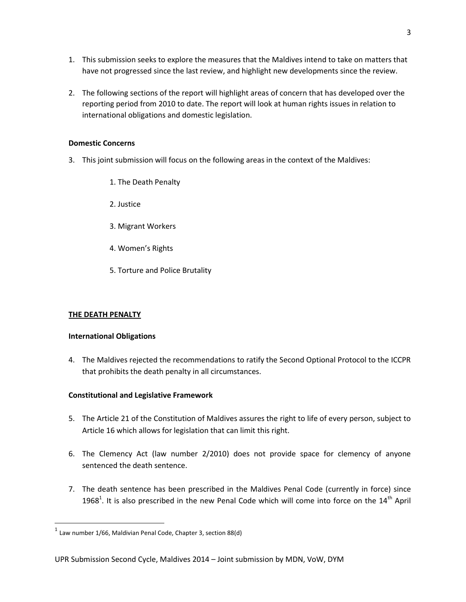- 1. This submission seeks to explore the measures that the Maldives intend to take on matters that have not progressed since the last review, and highlight new developments since the review.
- 2. The following sections of the report will highlight areas of concern that has developed over the reporting period from 2010 to date. The report will look at human rights issues in relation to international obligations and domestic legislation.

#### **Domestic Concerns**

- 3. This joint submission will focus on the following areas in the context of the Maldives:
	- 1. The Death Penalty
	- 2. Justice
	- 3. Migrant Workers
	- 4. Women's Rights
	- 5. Torture and Police Brutality

# **THE DEATH PENALTY**

 $\overline{\phantom{a}}$ 

#### **International Obligations**

4. The Maldives rejected the recommendations to ratify the Second Optional Protocol to the ICCPR that prohibits the death penalty in all circumstances.

# **Constitutional and Legislative Framework**

- 5. The Article 21 of the Constitution of Maldives assures the right to life of every person, subject to Article 16 which allows for legislation that can limit this right.
- 6. The Clemency Act (law number 2/2010) does not provide space for clemency of anyone sentenced the death sentence.
- 7. The death sentence has been prescribed in the Maldives Penal Code (currently in force) since 1968<sup>1</sup>. It is also prescribed in the new Penal Code which will come into force on the  $14<sup>th</sup>$  April

 $<sup>1</sup>$  Law number 1/66, Maldivian Penal Code, Chapter 3, section 88(d)</sup>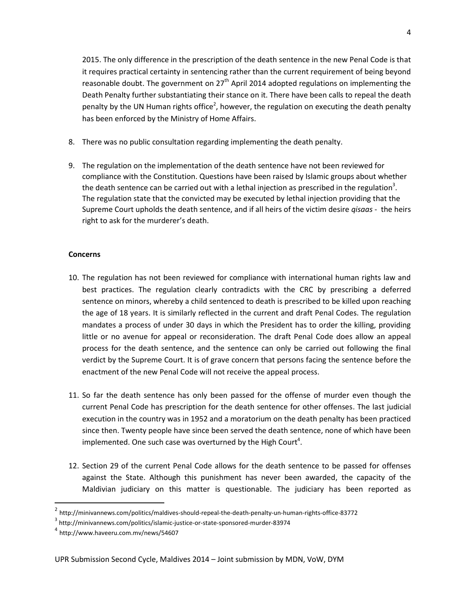2015. The only difference in the prescription of the death sentence in the new Penal Code is that it requires practical certainty in sentencing rather than the current requirement of being beyond reasonable doubt. The government on  $27<sup>th</sup>$  April 2014 adopted regulations on implementing the Death Penalty further substantiating their stance on it. There have been calls to repeal the death penalty by the UN Human rights office<sup>2</sup>, however, the regulation on executing the death penalty has been enforced by the Ministry of Home Affairs.

- 8. There was no public consultation regarding implementing the death penalty.
- 9. The regulation on the implementation of the death sentence have not been reviewed for compliance with the Constitution. Questions have been raised by Islamic groups about whether the death sentence can be carried out with a lethal injection as prescribed in the regulation<sup>3</sup>. The regulation state that the convicted may be executed by lethal injection providing that the Supreme Court upholds the death sentence, and if all heirs of the victim desire *qisaas* - the heirs right to ask for the murderer's death.

#### **Concerns**

- 10. The regulation has not been reviewed for compliance with international human rights law and best practices. The regulation clearly contradicts with the CRC by prescribing a deferred sentence on minors, whereby a child sentenced to death is prescribed to be killed upon reaching the age of 18 years. It is similarly reflected in the current and draft Penal Codes. The regulation mandates a process of under 30 days in which the President has to order the killing, providing little or no avenue for appeal or reconsideration. The draft Penal Code does allow an appeal process for the death sentence, and the sentence can only be carried out following the final verdict by the Supreme Court. It is of grave concern that persons facing the sentence before the enactment of the new Penal Code will not receive the appeal process.
- 11. So far the death sentence has only been passed for the offense of murder even though the current Penal Code has prescription for the death sentence for other offenses. The last judicial execution in the country was in 1952 and a moratorium on the death penalty has been practiced since then. Twenty people have since been served the death sentence, none of which have been implemented. One such case was overturned by the High Court<sup>4</sup>.
- 12. Section 29 of the current Penal Code allows for the death sentence to be passed for offenses against the State. Although this punishment has never been awarded, the capacity of the Maldivian judiciary on this matter is questionable. The judiciary has been reported as

<sup>2</sup> http://minivannews.com/politics/maldives-should-repeal-the-death-penalty-un-human-rights-office-83772

 $^3$  http://minivannews.com/politics/islamic-justice-or-state-sponsored-murder-83974

<sup>4</sup> http://www.haveeru.com.mv/news/54607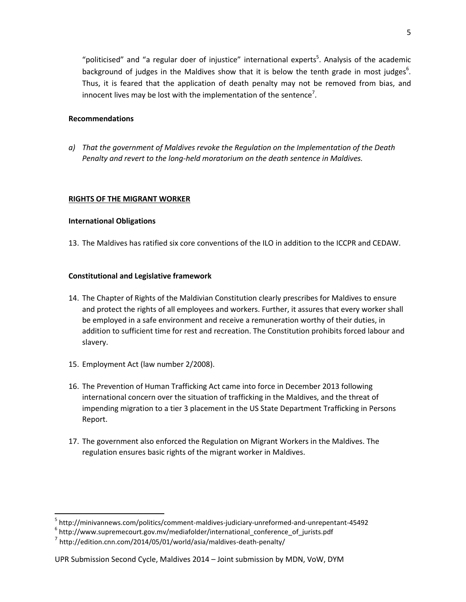"politicised" and "a regular doer of injustice" international experts<sup>5</sup>. Analysis of the academic background of judges in the Maldives show that it is below the tenth grade in most judges<sup>6</sup>. Thus, it is feared that the application of death penalty may not be removed from bias, and innocent lives may be lost with the implementation of the sentence<sup>7</sup>.

# **Recommendations**

*a) That the government of Maldives revoke the Regulation on the Implementation of the Death Penalty and revert to the long-held moratorium on the death sentence in Maldives.*

#### **RIGHTS OF THE MIGRANT WORKER**

#### **International Obligations**

 $\overline{a}$ 

13. The Maldives has ratified six core conventions of the ILO in addition to the ICCPR and CEDAW.

# **Constitutional and Legislative framework**

- 14. The Chapter of Rights of the Maldivian Constitution clearly prescribes for Maldives to ensure and protect the rights of all employees and workers. Further, it assures that every worker shall be employed in a safe environment and receive a remuneration worthy of their duties, in addition to sufficient time for rest and recreation. The Constitution prohibits forced labour and slavery.
- 15. Employment Act (law number 2/2008).
- 16. The Prevention of Human Trafficking Act came into force in December 2013 following international concern over the situation of trafficking in the Maldives, and the threat of impending migration to a tier 3 placement in the US State Department Trafficking in Persons Report.
- 17. The government also enforced the Regulation on Migrant Workers in the Maldives. The regulation ensures basic rights of the migrant worker in Maldives.

<sup>5</sup> http://minivannews.com/politics/comment-maldives-judiciary-unreformed-and-unrepentant-45492

<sup>&</sup>lt;sup>6</sup> http://www.supremecourt.gov.mv/mediafolder/international\_conference\_of\_jurists.pdf

 $^7$  http://edition.cnn.com/2014/05/01/world/asia/maldives-death-penalty/

UPR Submission Second Cycle, Maldives 2014 – Joint submission by MDN, VoW, DYM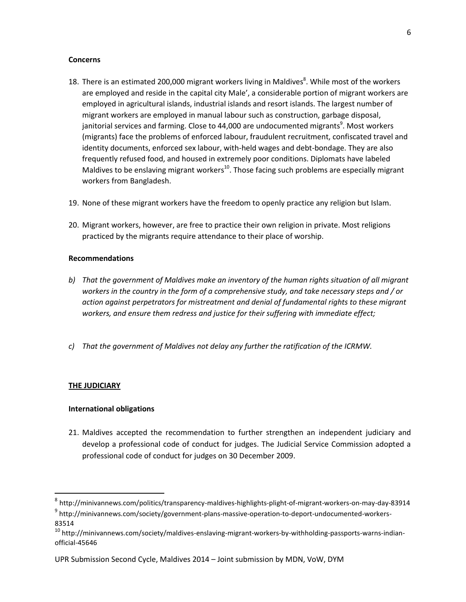#### **Concerns**

- 18. There is an estimated 200,000 migrant workers living in Maldives<sup>8</sup>. While most of the workers are employed and reside in the capital city Male', a considerable portion of migrant workers are employed in agricultural islands, industrial islands and resort islands. The largest number of migrant workers are employed in manual labour such as construction, garbage disposal, janitorial services and farming. Close to 44,000 are undocumented migrants<sup>9</sup>. Most workers (migrants) face the problems of enforced labour, fraudulent recruitment, confiscated travel and identity documents, enforced sex labour, with-held wages and debt-bondage. They are also frequently refused food, and housed in extremely poor conditions. Diplomats have labeled Maldives to be enslaving migrant workers<sup>10</sup>. Those facing such problems are especially migrant workers from Bangladesh.
- 19. None of these migrant workers have the freedom to openly practice any religion but Islam.
- 20. Migrant workers, however, are free to practice their own religion in private. Most religions practiced by the migrants require attendance to their place of worship.

# **Recommendations**

- *b) That the government of Maldives make an inventory of the human rights situation of all migrant workers in the country in the form of a comprehensive study, and take necessary steps and / or action against perpetrators for mistreatment and denial of fundamental rights to these migrant workers, and ensure them redress and justice for their suffering with immediate effect;*
- *c) That the government of Maldives not delay any further the ratification of the ICRMW.*

# **THE JUDICIARY**

l

# **International obligations**

21. Maldives accepted the recommendation to further strengthen an independent judiciary and develop a professional code of conduct for judges. The Judicial Service Commission adopted a professional code of conduct for judges on 30 December 2009.

<sup>&</sup>lt;sup>8</sup> http://minivannews.com/politics/transparency-maldives-highlights-plight-of-migrant-workers-on-may-day-83914

<sup>&</sup>lt;sup>9</sup> http://minivannews.com/society/government-plans-massive-operation-to-deport-undocumented-workers-83514

<sup>&</sup>lt;sup>10</sup> http://minivannews.com/society/maldives-enslaving-migrant-workers-by-withholding-passports-warns-indianofficial-45646

UPR Submission Second Cycle, Maldives 2014 – Joint submission by MDN, VoW, DYM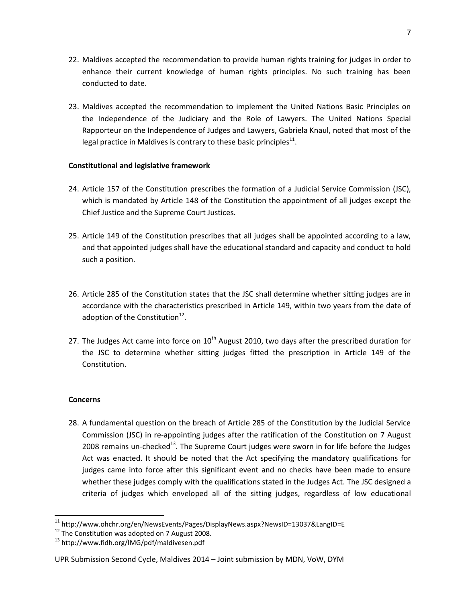- 22. Maldives accepted the recommendation to provide human rights training for judges in order to enhance their current knowledge of human rights principles. No such training has been conducted to date.
- 23. Maldives accepted the recommendation to implement the United Nations Basic Principles on the Independence of the Judiciary and the Role of Lawyers. The United Nations Special Rapporteur on the Independence of Judges and Lawyers, Gabriela Knaul, noted that most of the legal practice in Maldives is contrary to these basic principles<sup>11</sup>.

# **Constitutional and legislative framework**

- 24. Article 157 of the Constitution prescribes the formation of a Judicial Service Commission (JSC), which is mandated by Article 148 of the Constitution the appointment of all judges except the Chief Justice and the Supreme Court Justices.
- 25. Article 149 of the Constitution prescribes that all judges shall be appointed according to a law, and that appointed judges shall have the educational standard and capacity and conduct to hold such a position.
- 26. Article 285 of the Constitution states that the JSC shall determine whether sitting judges are in accordance with the characteristics prescribed in Article 149, within two years from the date of adoption of the Constitution $^{12}$ .
- 27. The Judges Act came into force on  $10<sup>th</sup>$  August 2010, two days after the prescribed duration for the JSC to determine whether sitting judges fitted the prescription in Article 149 of the Constitution.

# **Concerns**

 $\overline{\phantom{a}}$ 

28. A fundamental question on the breach of Article 285 of the Constitution by the Judicial Service Commission (JSC) in re-appointing judges after the ratification of the Constitution on 7 August 2008 remains un-checked<sup>13</sup>. The Supreme Court judges were sworn in for life before the Judges Act was enacted. It should be noted that the Act specifying the mandatory qualifications for judges came into force after this significant event and no checks have been made to ensure whether these judges comply with the qualifications stated in the Judges Act. The JSC designed a criteria of judges which enveloped all of the sitting judges, regardless of low educational

<sup>&</sup>lt;sup>11</sup> http://www.ohchr.org/en/NewsEvents/Pages/DisplayNews.aspx?NewsID=13037&LangID=E

 $12$  The Constitution was adopted on 7 August 2008.

<sup>13</sup> http://www.fidh.org/IMG/pdf/maldivesen.pdf

UPR Submission Second Cycle, Maldives 2014 – Joint submission by MDN, VoW, DYM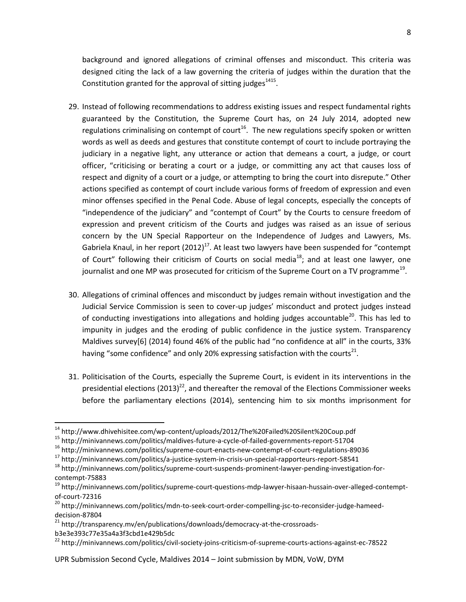background and ignored allegations of criminal offenses and misconduct. This criteria was designed citing the lack of a law governing the criteria of judges within the duration that the Constitution granted for the approval of sitting judges $^{1415}$ .

- 29. Instead of following recommendations to address existing issues and respect fundamental rights guaranteed by the Constitution, the Supreme Court has, on 24 July 2014, adopted new regulations criminalising on contempt of court<sup>16</sup>. The new regulations specify spoken or written words as well as deeds and gestures that constitute contempt of court to include portraying the judiciary in a negative light, any utterance or action that demeans a court, a judge, or court officer, "criticising or berating a court or a judge, or committing any act that causes loss of respect and dignity of a court or a judge, or attempting to bring the court into disrepute." Other actions specified as contempt of court include various forms of freedom of expression and even minor offenses specified in the Penal Code. Abuse of legal concepts, especially the concepts of "independence of the judiciary" and "contempt of Court" by the Courts to censure freedom of expression and prevent criticism of the Courts and judges was raised as an issue of serious concern by the UN Special Rapporteur on the Independence of Judges and Lawyers, Ms. Gabriela Knaul, in her report  $(2012)^{17}$ . At least two lawyers have been suspended for "contempt of Court" following their criticism of Courts on social media<sup>18</sup>; and at least one lawyer, one journalist and one MP was prosecuted for criticism of the Supreme Court on a TV programme $^{19}$ .
- 30. Allegations of criminal offences and misconduct by judges remain without investigation and the Judicial Service Commission is seen to cover-up judges' misconduct and protect judges instead of conducting investigations into allegations and holding judges accountable<sup>20</sup>. This has led to impunity in judges and the eroding of public confidence in the justice system. Transparency Maldives survey[6] (2014) found 46% of the public had "no confidence at all" in the courts, 33% having "some confidence" and only 20% expressing satisfaction with the courts<sup>21</sup>.
- 31. Politicisation of the Courts, especially the Supreme Court, is evident in its interventions in the presidential elections (2013)<sup>22</sup>, and thereafter the removal of the Elections Commissioner weeks before the parliamentary elections (2014), sentencing him to six months imprisonment for

l <sup>14</sup> http://www.dhivehisitee.com/wp-content/uploads/2012/The%20Failed%20Silent%20Coup.pdf

<sup>15</sup> http://minivannews.com/politics/maldives-future-a-cycle-of-failed-governments-report-51704

<sup>16</sup> http://minivannews.com/politics/supreme-court-enacts-new-contempt-of-court-regulations-89036

<sup>17</sup> http://minivannews.com/politics/a-justice-system-in-crisis-un-special-rapporteurs-report-58541

<sup>18</sup> http://minivannews.com/politics/supreme-court-suspends-prominent-lawyer-pending-investigation-forcontempt-75883

<sup>&</sup>lt;sup>19</sup> http://minivannews.com/politics/supreme-court-questions-mdp-lawyer-hisaan-hussain-over-alleged-contemptof-court-72316

<sup>&</sup>lt;sup>20</sup> http://minivannews.com/politics/mdn-to-seek-court-order-compelling-jsc-to-reconsider-judge-hameeddecision-87804

<sup>&</sup>lt;sup>21</sup> http://transparency.mv/en/publications/downloads/democracy-at-the-crossroadsb3e3e393c77e35a4a3f3cbd1e429b5dc

<sup>&</sup>lt;sup>22</sup> http://minivannews.com/politics/civil-society-joins-criticism-of-supreme-courts-actions-against-ec-78522

UPR Submission Second Cycle, Maldives 2014 – Joint submission by MDN, VoW, DYM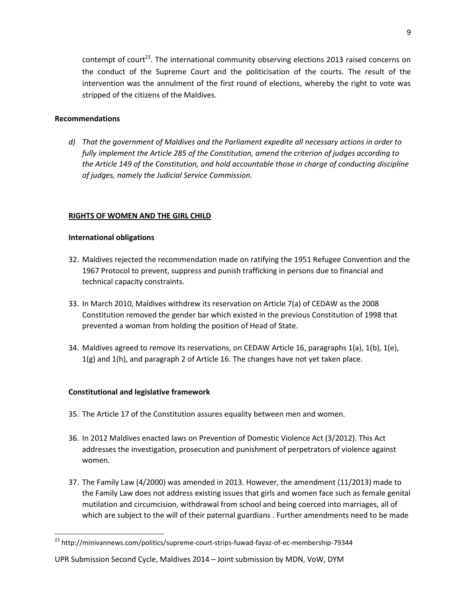contempt of court<sup>23</sup>. The international community observing elections 2013 raised concerns on the conduct of the Supreme Court and the politicisation of the courts. The result of the intervention was the annulment of the first round of elections, whereby the right to vote was stripped of the citizens of the Maldives.

# **Recommendations**

*d) That the government of Maldives and the Parliament expedite all necessary actions in order to fully implement the Article 285 of the Constitution, amend the criterion of judges according to the Article 149 of the Constitution, and hold accountable those in charge of conducting discipline of judges, namely the Judicial Service Commission.*

# **RIGHTS OF WOMEN AND THE GIRL CHILD**

# **International obligations**

- 32. Maldives rejected the recommendation made on ratifying the 1951 Refugee Convention and the 1967 Protocol to prevent, suppress and punish trafficking in persons due to financial and technical capacity constraints.
- 33. In March 2010, Maldives withdrew its reservation on Article 7(a) of CEDAW as the 2008 Constitution removed the gender bar which existed in the previous Constitution of 1998 that prevented a woman from holding the position of Head of State.
- 34. Maldives agreed to remove its reservations, on CEDAW Article 16, paragraphs 1(a), 1(b), 1(e), 1(g) and 1(h), and paragraph 2 of Article 16. The changes have not yet taken place.

# **Constitutional and legislative framework**

- 35. The Article 17 of the Constitution assures equality between men and women.
- 36. In 2012 Maldives enacted laws on Prevention of Domestic Violence Act (3/2012). This Act addresses the investigation, prosecution and punishment of perpetrators of violence against women.
- 37. The Family Law (4/2000) was amended in 2013. However, the amendment (11/2013) made to the Family Law does not address existing issues that girls and women face such as female genital mutilation and circumcision, withdrawal from school and being coerced into marriages, all of which are subject to the will of their paternal guardians . Further amendments need to be made

<sup>&</sup>lt;sup>23</sup> http://minivannews.com/politics/supreme-court-strips-fuwad-fayaz-of-ec-membership-79344

UPR Submission Second Cycle, Maldives 2014 – Joint submission by MDN, VoW, DYM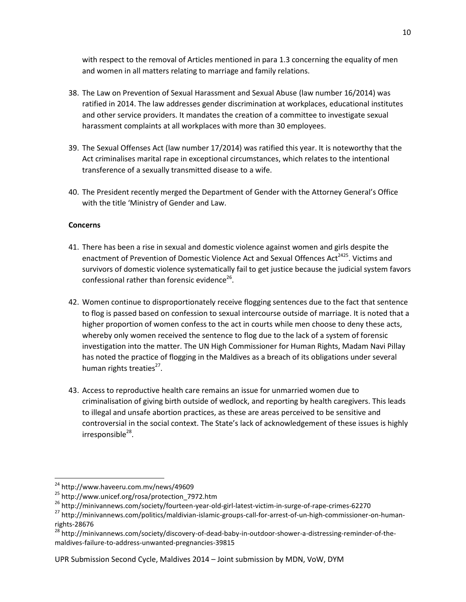with respect to the removal of Articles mentioned in para 1.3 concerning the equality of men and women in all matters relating to marriage and family relations.

- 38. The Law on Prevention of Sexual Harassment and Sexual Abuse (law number 16/2014) was ratified in 2014. The law addresses gender discrimination at workplaces, educational institutes and other service providers. It mandates the creation of a committee to investigate sexual harassment complaints at all workplaces with more than 30 employees.
- 39. The Sexual Offenses Act (law number 17/2014) was ratified this year. It is noteworthy that the Act criminalises marital rape in exceptional circumstances, which relates to the intentional transference of a sexually transmitted disease to a wife.
- 40. The President recently merged the Department of Gender with the Attorney General's Office with the title 'Ministry of Gender and Law.

# **Concerns**

- 41. There has been a rise in sexual and domestic violence against women and girls despite the enactment of Prevention of Domestic Violence Act and Sexual Offences Act<sup>2425</sup>. Victims and survivors of domestic violence systematically fail to get justice because the judicial system favors confessional rather than forensic evidence<sup>26</sup>.
- 42. Women continue to disproportionately receive flogging sentences due to the fact that sentence to flog is passed based on confession to sexual intercourse outside of marriage. It is noted that a higher proportion of women confess to the act in courts while men choose to deny these acts, whereby only women received the sentence to flog due to the lack of a system of forensic investigation into the matter. The UN High Commissioner for Human Rights, Madam Navi Pillay has noted the practice of flogging in the Maldives as a breach of its obligations under several human rights treaties<sup>27</sup>.
- 43. Access to reproductive health care remains an issue for unmarried women due to criminalisation of giving birth outside of wedlock, and reporting by health caregivers. This leads to illegal and unsafe abortion practices, as these are areas perceived to be sensitive and controversial in the social context. The State's lack of acknowledgement of these issues is highly irresponsible<sup>28</sup>.

UPR Submission Second Cycle, Maldives 2014 – Joint submission by MDN, VoW, DYM

<sup>&</sup>lt;sup>24</sup> http://www.haveeru.com.mv/news/49609

<sup>25</sup> http://www.unicef.org/rosa/protection\_7972.htm

<sup>&</sup>lt;sup>26</sup> http://minivannews.com/society/fourteen-year-old-girl-latest-victim-in-surge-of-rape-crimes-62270

<sup>27</sup> http://minivannews.com/politics/maldivian-islamic-groups-call-for-arrest-of-un-high-commissioner-on-humanrights-28676

<sup>&</sup>lt;sup>28</sup> http://minivannews.com/society/discovery-of-dead-baby-in-outdoor-shower-a-distressing-reminder-of-themaldives-failure-to-address-unwanted-pregnancies-39815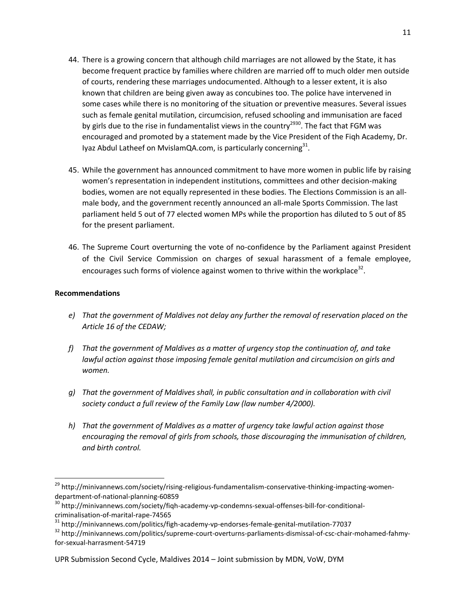- 44. There is a growing concern that although child marriages are not allowed by the State, it has become frequent practice by families where children are married off to much older men outside of courts, rendering these marriages undocumented. Although to a lesser extent, it is also known that children are being given away as concubines too. The police have intervened in some cases while there is no monitoring of the situation or preventive measures. Several issues such as female genital mutilation, circumcision, refused schooling and immunisation are faced by girls due to the rise in fundamentalist views in the country<sup>2930</sup>. The fact that FGM was encouraged and promoted by a statement made by the Vice President of the Fiqh Academy, Dr. Iyaz Abdul Latheef on MvislamQA.com, is particularly concerning $^{31}$ .
- 45. While the government has announced commitment to have more women in public life by raising women's representation in independent institutions, committees and other decision-making bodies, women are not equally represented in these bodies. The Elections Commission is an allmale body, and the government recently announced an all-male Sports Commission. The last parliament held 5 out of 77 elected women MPs while the proportion has diluted to 5 out of 85 for the present parliament.
- 46. The Supreme Court overturning the vote of no-confidence by the Parliament against President of the Civil Service Commission on charges of sexual harassment of a female employee, encourages such forms of violence against women to thrive within the workplace<sup>32</sup>.

# **Recommendations**

- *e) That the government of Maldives not delay any further the removal of reservation placed on the Article 16 of the CEDAW;*
- *f) That the government of Maldives as a matter of urgency stop the continuation of, and take*  lawful action against those imposing female genital mutilation and circumcision on girls and *women.*
- *g) That the government of Maldives shall, in public consultation and in collaboration with civil society conduct a full review of the Family Law (law number 4/2000).*
- *h) That the government of Maldives as a matter of urgency take lawful action against those encouraging the removal of girls from schools, those discouraging the immunisation of children, and birth control.*

<sup>&</sup>lt;sup>29</sup> http://minivannews.com/society/rising-religious-fundamentalism-conservative-thinking-impacting-womendepartment-of-national-planning-60859

<sup>30</sup> http://minivannews.com/society/fiqh-academy-vp-condemns-sexual-offenses-bill-for-conditionalcriminalisation-of-marital-rape-74565

<sup>31</sup> http://minivannews.com/politics/figh-academy-vp-endorses-female-genital-mutilation-77037

<sup>&</sup>lt;sup>32</sup> http://minivannews.com/politics/supreme-court-overturns-parliaments-dismissal-of-csc-chair-mohamed-fahmyfor-sexual-harrasment-54719

UPR Submission Second Cycle, Maldives 2014 – Joint submission by MDN, VoW, DYM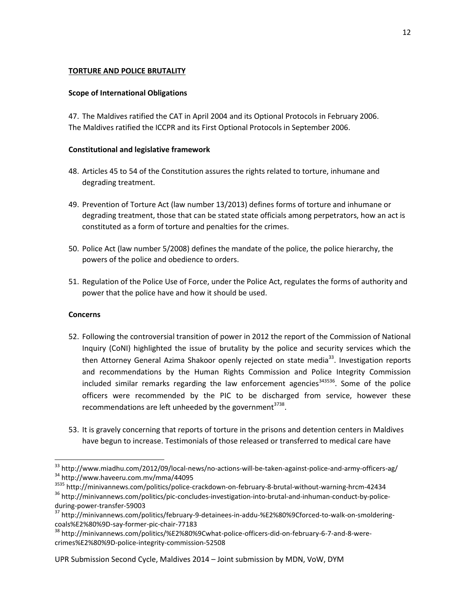# **TORTURE AND POLICE BRUTALITY**

# **Scope of International Obligations**

47. The Maldives ratified the CAT in April 2004 and its Optional Protocols in February 2006. The Maldives ratified the ICCPR and its First Optional Protocols in September 2006.

# **Constitutional and legislative framework**

- 48. Articles 45 to 54 of the Constitution assures the rights related to torture, inhumane and degrading treatment.
- 49. Prevention of Torture Act (law number 13/2013) defines forms of torture and inhumane or degrading treatment, those that can be stated state officials among perpetrators, how an act is constituted as a form of torture and penalties for the crimes.
- 50. Police Act (law number 5/2008) defines the mandate of the police, the police hierarchy, the powers of the police and obedience to orders.
- 51. Regulation of the Police Use of Force, under the Police Act, regulates the forms of authority and power that the police have and how it should be used.

# **Concerns**

- 52. Following the controversial transition of power in 2012 the report of the Commission of National Inquiry (CoNI) highlighted the issue of brutality by the police and security services which the then Attorney General Azima Shakoor openly rejected on state media<sup>33</sup>. Investigation reports and recommendations by the Human Rights Commission and Police Integrity Commission included similar remarks regarding the law enforcement agencies<sup>343536</sup>. Some of the police officers were recommended by the PIC to be discharged from service, however these recommendations are left unheeded by the government<sup>3738</sup>.
- 53. It is gravely concerning that reports of torture in the prisons and detention centers in Maldives have begun to increase. Testimonials of those released or transferred to medical care have

<sup>33</sup> http://www.miadhu.com/2012/09/local-news/no-actions-will-be-taken-against-police-and-army-officers-ag/ <sup>34</sup> http://www.haveeru.com.mv/mma/44095

<sup>3535</sup> http://minivannews.com/politics/police-crackdown-on-february-8-brutal-without-warning-hrcm-42434 <sup>36</sup> http://minivannews.com/politics/pic-concludes-investigation-into-brutal-and-inhuman-conduct-by-policeduring-power-transfer-59003

<sup>&</sup>lt;sup>37</sup> http://minivannews.com/politics/february-9-detainees-in-addu-%E2%80%9Cforced-to-walk-on-smolderingcoals%E2%80%9D-say-former-pic-chair-77183

<sup>&</sup>lt;sup>38</sup> http://minivannews.com/politics/%E2%80%9Cwhat-police-officers-did-on-february-6-7-and-8-werecrimes%E2%80%9D-police-integrity-commission-52508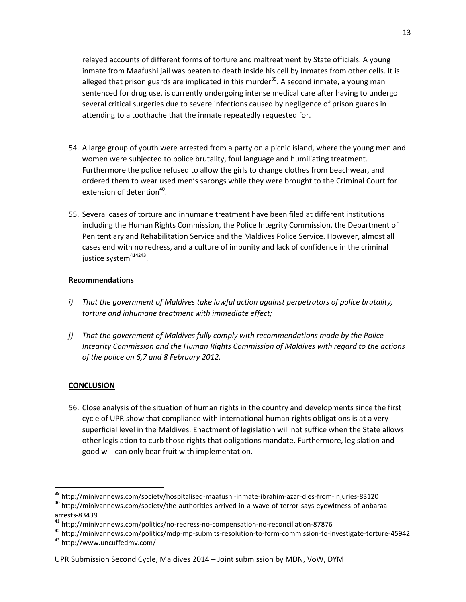relayed accounts of different forms of torture and maltreatment by State officials. A young inmate from Maafushi jail was beaten to death inside his cell by inmates from other cells. It is alleged that prison guards are implicated in this murder<sup>39</sup>. A second inmate, a young man sentenced for drug use, is currently undergoing intense medical care after having to undergo several critical surgeries due to severe infections caused by negligence of prison guards in attending to a toothache that the inmate repeatedly requested for.

- 54. A large group of youth were arrested from a party on a picnic island, where the young men and women were subjected to police brutality, foul language and humiliating treatment. Furthermore the police refused to allow the girls to change clothes from beachwear, and ordered them to wear used men's sarongs while they were brought to the Criminal Court for extension of detention<sup>40</sup>.
- 55. Several cases of torture and inhumane treatment have been filed at different institutions including the Human Rights Commission, the Police Integrity Commission, the Department of Penitentiary and Rehabilitation Service and the Maldives Police Service. However, almost all cases end with no redress, and a culture of impunity and lack of confidence in the criminal justice system<sup>414243</sup>.

# **Recommendations**

- *i) That the government of Maldives take lawful action against perpetrators of police brutality, torture and inhumane treatment with immediate effect;*
- *j) That the government of Maldives fully comply with recommendations made by the Police Integrity Commission and the Human Rights Commission of Maldives with regard to the actions of the police on 6,7 and 8 February 2012.*

# **CONCLUSION**

 $\overline{a}$ 

56. Close analysis of the situation of human rights in the country and developments since the first cycle of UPR show that compliance with international human rights obligations is at a very superficial level in the Maldives. Enactment of legislation will not suffice when the State allows other legislation to curb those rights that obligations mandate. Furthermore, legislation and good will can only bear fruit with implementation.

<sup>&</sup>lt;sup>39</sup> http://minivannews.com/society/hospitalised-maafushi-inmate-ibrahim-azar-dies-from-injuries-83120

<sup>40</sup> http://minivannews.com/society/the-authorities-arrived-in-a-wave-of-terror-says-eyewitness-of-anbaraaarrests-83439

<sup>41</sup> http://minivannews.com/politics/no-redress-no-compensation-no-reconciliation-87876

<sup>42</sup> http://minivannews.com/politics/mdp-mp-submits-resolution-to-form-commission-to-investigate-torture-45942

<sup>43</sup> http://www.uncuffedmv.com/

UPR Submission Second Cycle, Maldives 2014 – Joint submission by MDN, VoW, DYM